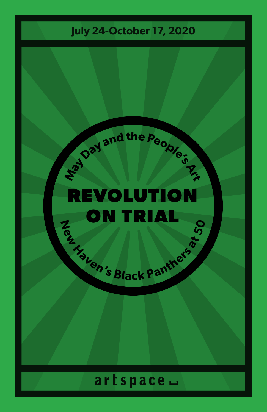## **July 24-October 17, 2020**

## EVOLUTIO ON TRIAL

**E**<sub>*l*</sub> **c**<sub>*s*</sup><sub>**d<sub></sub></sub><br><b>a**<sub>tic</sub><sub>n's Black Panthe<sup>rs a</sup></sub></sub></sub>

**P**<br>**Pa**<br>**P**<br>**P**<br>**P**<br>**P**<br>**P**<br>**P** 

## artspace -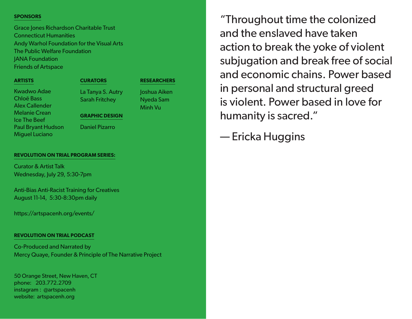### **SPONSORS**

Grace Jones Richardson Charitable Trust Connecticut Humanities Andy Warhol Foundation for the Visual Arts The Public Welfare Foundation JANA Foundation Friends of Artspace

### **ARTISTS**

Kwadwo Adae Chloë Bass Alex Callender Melanie Crean Ice The Beef Paul Bryant Hudson Miguel Luciano

### **CURATORS**

La Tanya S. Autry Sarah Fritchey

**RESEARCHERS**

Joshua Aiken Nyeda Sam Minh Vu

### **GRAPHIC DESIGN**

Daniel Pizarro

### **REVOLUTION ON TRIAL PROGRAM SERIES:**

Curator & Artist Talk Wednesday, July 29, 5:30-7pm

Anti-Bias Anti-Racist Training for Creatives August 11-14, 5:30-8:30pm daily

https://artspacenh.org/events/

### **REVOLUTION ON TRIAL PODCAST**

Co-Produced and Narrated by Mercy Quaye, Founder & Principle of The Narrative Project

50 Orange Street, New Haven, CT phone: 203.772.2709 instagram : @artspacenh website: artspacenh.org

"Throughout time the colonized and the enslaved have taken action to break the yoke of violent subjugation and break free of social and economic chains. Power based in personal and structural greed is violent. Power based in love for humanity is sacred."

— Ericka Huggins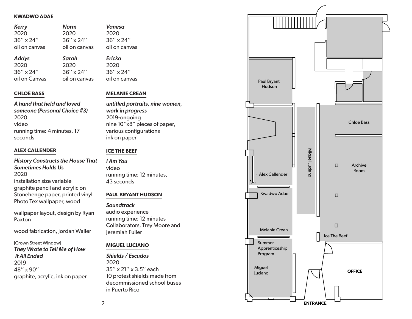### **KWADWO ADAE**

| <b>Kerry</b>       | <b>Norm</b>        | Vanesa             |
|--------------------|--------------------|--------------------|
| 2020               | 2020               | 2020               |
| $36'' \times 24''$ | $36'' \times 24''$ | $36'' \times 24''$ |
| oil on canvas      | oil on canvas      | oil on canvas      |
|                    |                    |                    |

*Sarah* 2020 36'' x 24'' oil on canvas

*Addys* 2020 36'' x 24'' oil on Canvas *Ericka* 2020 36'' x 24'' oil on canvas

### **CHLOË BASS**

### *A hand that held and loved someone (Personal Choice #3)* 2020 video running time: 4 minutes, 17 seconds

### **ALEX CALLENDER**

*History Constructs the House That Sometimes Holds Us* 2020 installation size variable graphite pencil and acrylic on Stonehenge paper, printed vinyl Photo Tex wallpaper, wood

wallpaper layout, design by Ryan Paxton

wood fabrication, Jordan Waller

[Crown Street Window] *They Wrote to Tell Me of How It All Ended* 2019 48'' x 90'' graphite, acrylic, ink on paper

### **MELANIE CREAN**

*untitled portraits, nine women, work in progress* 2019-ongoing nine 10''x8" pieces of paper, various configurations ink on paper

### **ICE THE BEEF**

*I Am You* video running time: 12 minutes, 43 seconds

### **PAUL BRYANT HUDSON**

### *Soundtrack*

audio experience running time: 12 minutes Collaborators, Trey Moore and Jeremiah Fuller

### **MIGUEL LUCIANO**

*Shields / Escudos* 2020 35'' x 21'' x 3.5'' each 10 protest shields made from decommissioned school buses in Puerto Rico

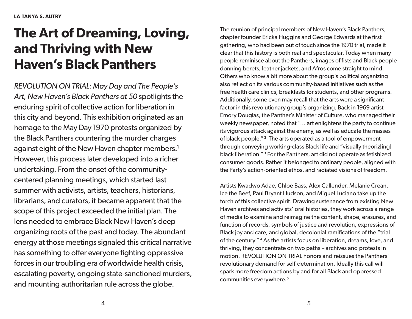# **The Art of Dreaming, Loving, and Thriving with New Haven's Black Panthers**

*REVOLUTION ON TRIAL: May Day and The People's Art, New Haven's Black Panthers at 50* spotlights the enduring spirit of collective action for liberation in this city and beyond. This exhibition originated as an homage to the May Day 1970 protests organized by the Black Panthers countering the murder charges against eight of the New Haven chapter members.<sup>1</sup> However, this process later developed into a richer undertaking. From the onset of the communitycentered planning meetings, which started last summer with activists, artists, teachers, historians, librarians, and curators, it became apparent that the scope of this project exceeded the initial plan. The lens needed to embrace Black New Haven's deep organizing roots of the past and today. The abundant energy at those meetings signaled this critical narrative has something to offer everyone fighting oppressive forces in our troubling era of worldwide health crisis, escalating poverty, ongoing state-sanctioned murders, and mounting authoritarian rule across the globe.

The reunion of principal members of New Haven's Black Panthers, chapter founder Ericka Huggins and George Edwards at the first gathering, who had been out of touch since the 1970 trial, made it clear that this history is both real and spectacular. Today when many people reminisce about the Panthers, images of fists and Black people donning berets, leather jackets, and Afros come straight to mind. Others who know a bit more about the group's political organizing also reflect on its various community-based initiatives such as the free health care clinics, breakfasts for students, and other programs. Additionally, some even may recall that the arts were a significant factor in this revolutionary group's organizing. Back in 1969 artist Emory Douglas, the Panther's Minister of Culture, who managed their weekly newspaper, noted that "… art enlightens the party to continue its vigorous attack against the enemy, as well as educate the masses of black people." <sup>2</sup> The arts operated as a tool of empowerment through conveying working-class Black life and "visually theoriz[ing] black liberation." <sup>3</sup> For the Panthers, art did not operate as fetishized consumer goods. Rather it belonged to ordinary people, aligned with the Party's action-oriented ethos, and radiated visions of freedom.

Artists Kwadwo Adae, Chloë Bass, Alex Callender, Melanie Crean, Ice the Beef, Paul Bryant Hudson, and Miguel Luciano take up the torch of this collective spirit. Drawing sustenance from existing New Haven archives and activists' oral histories, they work across a range of media to examine and reimagine the content, shape, erasures, and function of records, symbols of justice and revolution, expressions of Black joy and care, and global, decolonial ramifications of the "trial of the century." <sup>4</sup> As the artists focus on liberation, dreams, love, and thriving, they concentrate on two paths – archives and protests in motion. REVOLUTION ON TRIAL honors and reissues the Panthers' revolutionary demand for self-determination. Ideally this call will spark more freedom actions by and for all Black and oppressed communities everywhere.5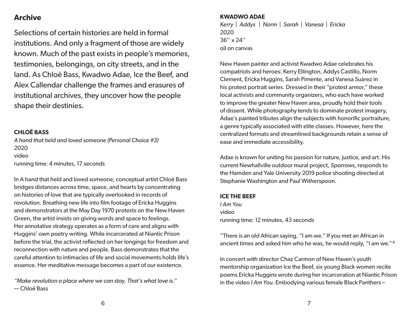## **Archive**

Selections of certain histories are held in formal institutions. And only a fragment of those are widely known. Much of the past exists in people's memories, testimonies, belongings, on city streets, and in the land. As Chloë Bass, Kwadwo Adae, Ice the Beef, and Alex Callendar challenge the frames and erasures of institutional archives, they uncover how the people shape their destinies.

### **CHLOË BASS**

*A hand that held and loved someone (Personal Choice #3)* 2020 video running time: 4 minutes, 17 seconds

In A hand that held and loved someone, conceptual artist Chloë Bass bridges distances across time, space, and hearts by concentrating on histories of love that are typically overlooked in records of revolution. Breathing new life into film footage of Ericka Huggins and demonstrators at the May Day 1970 protests on the New Haven Green, the artist insists on giving words and space to feelings. Her annotative strategy operates as a form of care and aligns with Huggins' own poetry writing. While incarcerated at Niantic Prison before the trial, the activist reflected on her longings for freedom and reconnection with nature and people. Bass demonstrates that the careful attention to intimacies of life and social movements holds life's essence. Her meditative message becomes a part of our existence.

*"Make revolution a place where we can stay. That's what love is."* — Chloë Bass

### **KWADWO ADAE**

*Kerry | Addys | Norm | Sarah | Vanesa | Ericka* 2020 36'' x 24'' oil on canvas

New Haven painter and activist Kwadwo Adae celebrates his compatriots and heroes: Kerry Ellington, Addys Castillo, Norm Clement, Ericka Huggins, Sarah Pimente, and Vanesa Suárez in his protest portrait series. Dressed in their "protest armor," these local activists and community organizers, who each have worked to improve the greater New Haven area, proudly hold their tools of dissent. While photography tends to dominate protest imagery, Adae's painted tributes align the subjects with honorific portraiture, a genre typically associated with elite classes. However, here the centralized formats and streamlined backgrounds retain a sense of ease and immediate accessibility.

Adae is known for uniting his passion for nature, justice, and art. His current Newhallville outdoor mural project, *Sparrows*, responds to the Hamden and Yale University 2019 police shooting directed at Stephanie Washington and Paul Witherspoon.

### **ICE THE BEEF**

*I Am You* video running time: 12 minutes, 43 seconds

"There is an old African saying, "I am we." If you met an African in ancient times and asked him who he was, he would reply, "I am we." <sup>6</sup>

In concert with director Chaz Carmon of New Haven's youth mentorship organization Ice the Beef, six young Black women recite poems Ericka Huggins wrote during her incarceration at Niantic Prison in the video *I Am You*. Embodying various female Black Panthers –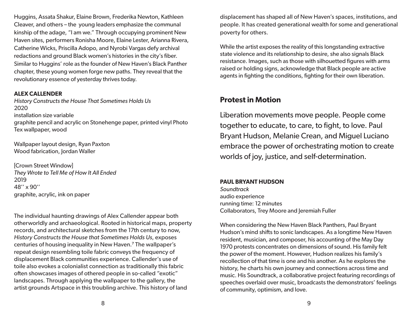Huggins, Assata Shakur, Elaine Brown, Frederika Newton, Kathleen Cleaver, and others – the young leaders emphasize the communal kinship of the adage, "I am we." Through occupying prominent New Haven sites, performers Ronisha Moore, Elaine Lester, Arianna Rivera, Catherine Wicks, Priscilla Adopo, and Nyrobi Vargas defy archival redactions and ground Black women's histories in the city's fiber. Similar to Huggins' role as the founder of New Haven's Black Panther chapter, these young women forge new paths. They reveal that the revolutionary essence of yesterday thrives today.

### **ALEX CALLENDER**

*History Constructs the House That Sometimes Holds Us* 2020 installation size variable graphite pencil and acrylic on Stonehenge paper, printed vinyl Photo Tex wallpaper, wood

Wallpaper layout design, Ryan Paxton Wood fabrication, Jordan Waller

[Crown Street Window] *They Wrote to Tell Me of How It All Ended* 2019 48'' x 90'' graphite, acrylic, ink on paper

The individual haunting drawings of Alex Callender appear both otherworldly and archaeological. Rooted in historical maps, property records, and architectural sketches from the 17th century to now, *History Constructs the House that Sometimes Holds Us*, exposes centuries of housing inequality in New Haven.7 The wallpaper's repeat design resembling toile fabric conveys the frequency of displacement Black communities experience. Callender's use of toile also evokes a colonialist connection as traditionally this fabric often showcases images of othered people in so-called "exotic" landscapes. Through applying the wallpaper to the gallery, the artist grounds Artspace in this troubling archive. This history of land

displacement has shaped all of New Haven's spaces, institutions, and people. It has created generational wealth for some and generational poverty for others.

While the artist exposes the reality of this longstanding extractive state violence and its relationship to desire, she also signals Black resistance. Images, such as those with silhouetted figures with arms raised or holding signs, acknowledge that Black people are active agents in fighting the conditions, fighting for their own liberation.

## **Protest in Motion**

Liberation movements move people. People come together to educate, to care, to fight, to love. Paul Bryant Hudson, Melanie Crean, and Miguel Luciano embrace the power of orchestrating motion to create worlds of joy, justice, and self-determination.

### **PAUL BRYANT HUDSON**

*Soundtrack* audio experience running time: 12 minutes Collaborators, Trey Moore and Jeremiah Fuller

When considering the New Haven Black Panthers, Paul Bryant Hudson's mind shifts to sonic landscapes. As a longtime New Haven resident, musician, and composer, his accounting of the May Day 1970 protests concentrates on dimensions of sound. His family felt the power of the moment. However, Hudson realizes his family's recollection of that time is one and his another. As he explores the history, he charts his own journey and connections across time and music. His Soundtrack, a collaborative project featuring recordings of speeches overlaid over music, broadcasts the demonstrators' feelings of community, optimism, and love.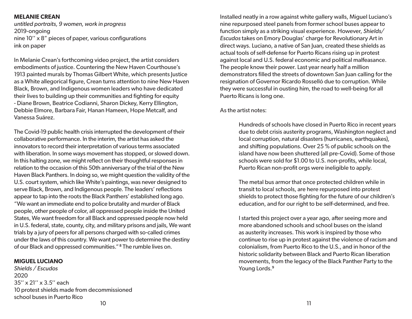### **MELANIE CREAN**

*untitled portraits, 9 women, work in progress* 2019-ongoing nine 10'' x 8" pieces of paper, various configurations ink on paper

In Melanie Crean's forthcoming video project, the artist considers embodiments of justice. Countering the New Haven Courthouse's 1913 painted murals by Thomas Gilbert White, which presents Justice as a White allegorical figure, Crean turns attention to nine New Haven Black, Brown, and Indigenous women leaders who have dedicated their lives to building up their communities and fighting for equity - Diane Brown, Beatrice Codianni, Sharon Dickey, Kerry Ellington, Debbie Elmore, Barbara Fair, Hanan Hameen, Hope Metcalf, and Vanessa Suárez.

The Covid-19 public health crisis interrupted the development of their collaborative performance. In the interim, the artist has asked the innovators to record their interpretation of various terms associated with liberation. In some ways movement has stopped, or slowed down. In this halting zone, we might reflect on their thoughtful responses in relation to the occasion of this 50th anniversary of the trial of the New Haven Black Panthers. In doing so, we might question the validity of the U.S. court system, which like White's paintings, was never designed to serve Black, Brown, and Indigenous people. The leaders' reflections appear to tap into the roots the Black Panthers' established long ago. "We want an immediate end to police brutality and murder of Black people, other people of color, all oppressed people inside the United States, We want freedom for all Black and oppressed people now held in U.S. federal, state, county, city, and military prisons and jails, We want trials by a jury of peers for all persons charged with so-called crimes under the laws of this country. We want power to determine the destiny of our Black and oppressed communities." <sup>8</sup> The rumble lives on.

### **MIGUEL LUCIANO**

 $10$ *Shields / Escudos* 2020 35'' x 21'' x 3.5'' each 10 protest shields made from decommissioned school buses in Puerto Rico

Installed neatly in a row against white gallery walls, Miguel Luciano's nine repurposed steel panels from former school buses appear to function simply as a striking visual experience. However, *Shields/ Escudos* takes on Emory Douglas' charge for Revolutionary Art in direct ways. Luciano, a native of San Juan, created these shields as actual tools of self-defense for Puerto Ricans rising up in protest against local and U.S. federal economic and political malfeasance. The people know their power. Last year nearly half a million demonstrators filled the streets of downtown San Juan calling for the resignation of Governor Ricardo Rosselló due to corruption. While they were successful in ousting him, the road to well-being for all Puerto Ricans is long one.

### As the artist notes:

Hundreds of schools have closed in Puerto Rico in recent years due to debt crisis austerity programs, Washington neglect and local corruption, natural disasters (hurricanes, earthquakes), and shifting populations. Over 25 % of public schools on the island have now been shuttered (all pre-Covid). Some of those schools were sold for \$1.00 to U.S. non-profits, while local, Puerto Rican non-profit orgs were ineligible to apply.

The metal bus armor that once protected children while in transit to local schools, are here repurposed into protest shields to protect those fighting for the future of our children's education, and for our right to be self-determined, and free.

I started this project over a year ago, after seeing more and more abandoned schools and school buses on the island as austerity increases. This work is inspired by those who continue to rise up in protest against the violence of racism and colonialism, from Puerto Rico to the U.S., and in honor of the historic solidarity between Black and Puerto Rican liberation movements, from the legacy of the Black Panther Party to the Young Lords.<sup>9</sup>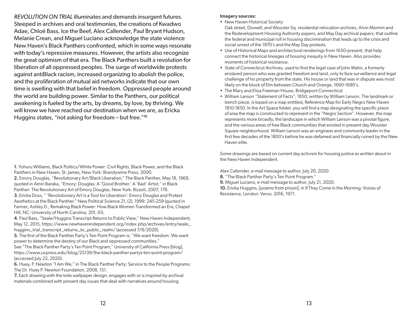*REVOLUTION ON TRIAL* illuminates and demands insurgent futures. Steeped in archives and oral testimonies, the creations of Kwadwo Adae, Chloë Bass, Ice the Beef, Alex Callender, Paul Bryant Hudson, Melanie Crean, and Miguel Luciano acknowledge the state violence New Haven's Black Panthers confronted, which in some ways resonate with today's repressive measures. However, the artists also recognize the great optimism of that era. The Black Panthers built a revolution for liberation of all oppressed peoples. The surge of worldwide protests against antiBlack racism, increased organizing to abolish the police, and the proliferation of mutual aid networks indicate that our own time is swelling with that belief in freedom. Oppressed people around the world are building power. Similar to the Panthers, our political awakening is fueled by the arts, by dreams, by love, by thriving. We will know we have reached our destination when we are, as Ericka Huggins states, "not asking for freedom – but free."<sup>10</sup>

1. Yohuru Williams, Black Politics/White Power: Civil Rights, Black Power, and the Black Panthers in New Haven, St. James, New York: Brandywine Press, 2000. 2. Emory Douglas, "Revolutionary Art/Black Liberation," The Black Panther, May 18, 1969, quoted in Amiri Baraka, "Emory: Douglas: A 'Good Brother,' A 'Bad' Artist," in Black

Panther: The Revolutionary Art of Emory Douglas, New York: Rizzoli, 2007, 178. 3. Ericka Doss, " 'Revolutionary Art Is a Tool for Liberation': Emory Douglas and Protest Aesthetics at the Black Panther." New Political Science 21, (2), 1999: 245-259 (quoted in Farmer, Ashley D., Remaking Black Power: How Black Women Transformed an Era, Chapel Hill, NC: University of North Carolina, 201, 61).

4. Paul Bass, "Seale/Huggins Transcript Returns to Public View," New Haven Independent, May 12, 2015, https://www.newhavenindependent.org/index.php/archives/entry/seale\_ huggins\_trial\_transcript\_returns\_to\_public\_realm/ (accessed 7/8/2020).

5. The first of the Black Panther Party's Ten-Point Program is: "We want freedom. We want power to determine the destiny of our Black and oppressed communities."

See "The Black Panther Party's Ten Point Program," University of California Press [blog], https://www.ucpress.edu/blog/25139/the-black-panther-partys-ten-point-program/ (accessed July 22, 2020).

6. Huey, P. Newton "I Am We," in The Black Panther Party: Service to the People Programs: The Dr. Huey P. Newton Foundation, 2008, 151.

7. Each drawing with the toile wallpaper design, engages with or is inspired by archival materials combined with present day issues that deal with narratives around housing.

#### Imagery sources:

• New Haven Historical Society

Oak street, Dixwell, and Wooster Sq. residential relocation archives, Alvin Mermin and the Redevelopment Housing Authority papers, and May Day archival papers, that outline the federal and municipal roll in housing discrimination that leads up to the crisis and social unrest of the 1970's and the May Day protests.

- Use of Historical Maps and architectural renderings from 1650-present, that help connect the historical lineages of housing inequity in New Haven. Also provides moments of historical resistance.
- State of Connecticut Archives, used to find the legal case of John Wahn, a formerly enslaved person who was granted freedom and land, only to face surveillance and legal challenge of his property from the state. His house or land that was in dispute was most likely on the block of Elm between Church and Orange, 1660-1690's.
- The Mary and Eliza Freeman House, Bridgeport Connecticut
- William Lanson "Statement of Facts", 1850, written by William Lanson. The landmark or bench piece, is based on a map entitled, Reference Map for Early Negro New Haven 1810-1850. In the Art Space folder, you will find a map designating the specific piece of area the map is constructed to represent in the "Negro Section". However, the map represents more broadly, the landscape in which William Lanson was a pivotal figure, and the various areas of free Black communities that existed in present day Wooster Square neighborhood. William Lanson was an engineer and community leader in the first few decades of the 1800's before he was defamed and financially ruined by the New Haven elite.

Some drawings are based on current day activism for housing justice as written about in the New Haven Independent.

Alex Callender, e-mail message to author, July 20, 2020.

8. "The Black Panther Party's Ten Point Program."

9. Miguel Luciano, e-mail message to author, July 21, 2020.

10. Ericka Huggins, [poems from prison], in If They Come in the Morning: Voices of Resistance, London: Verso, 2016, 1971.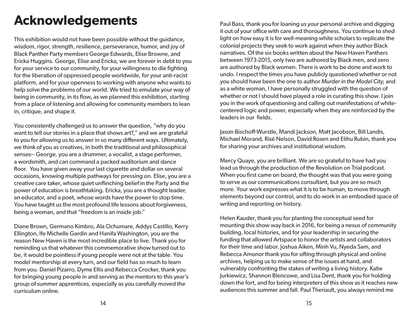# **Acknowledgements**

This exhibition would not have been possible without the guidance, wisdom, rigor, strength, resilience, perseverance, humor, and joy of Black Panther Party members George Edwards, Elise Browne, and Ericka Huggins. George, Elise and Ericka, we are forever in debt to you for your service to our community, for your willingness to die fighting for the liberation of oppressed people worldwide, for your anti-racist platform, and for your openness to working with anyone who wants to help solve the problems of our world. We tried to emulate your way of being in community, in its flow, as we planned this exhibition, starting from a place of listening and allowing for community members to lean in, critique, and shape it.

You consistently challenged us to answer the question, "why do you want to tell our stories in a place that shows art?," and we are grateful to you for allowing us to answer in so many different ways. Ultimately, we think of you as creatives, in both the traditional and philosophical senses-- George, you are a drummer, a vocalist, a stage performer, a wordsmith, and can command a packed auditorium and dance floor. You have given away your last cigarette and dollar on several occasions, knowing multiple pathways for pressing on. Elise, you are a creative care taker, whose quiet unflinching belief in the Party and the power of education is breathtaking. Ericka, you are a thought leader, an educator, and a poet, whose words have the power to stop time. You have taught us the most profound life lessons about forgiveness, being a woman, and that "freedom is an inside job."

Diane Brown, Germano Kimbro, Ala Ochumare, Addys Castillo, Kerry Ellington, Ife Michelle Gardin and Hanifa Washington, you are the reason New Haven is the most incredible place to live. Thank you for reminding us that whatever this commemorative show turned out to be, it would be pointless if young people were not at the table. You model mentorship at every turn, and our field has so much to learn from you. Daniel Pizarro, Dyme Ellis and Rebecca Crocker, thank you for bringing young people in and serving as the mentors to this year's group of summer apprentices, especially as you carefully moved the curriculum online.

Paul Bass, thank you for loaning us your personal archive and digging it out of your office with care and thoroughness. You continue to shed light on how easy it is for well-meaning white scholars to replicate the colonial projects they seek to work against when they author Black narratives. Of the six books written about the New Haven Panthers between 1973-2015, only two are authored by Black men, and zero are authored by Black women. There is work to be done and work to undo. I respect the times you have publicly questioned whether or not you should have been the one to author *Murder in the Model City*, and as a white woman, I have personally struggled with the question of whether or not I should have played a role in curating this show. I join you in the work of questioning and calling out manifestations of whitecentered logic and power, especially when they are reinforced by the leaders in our fields.

Jason Bischoff-Wurstle, Mandi Jackson, Matt Jacobson, Bill Landis, Michael Morand, Risë Nelson, David Rosen and Elihu Rubin, thank you for sharing your archives and institutional wisdom.

Mercy Quaye, you are brilliant. We are so grateful to have had you lead us through the production of the Revolution on Trial podcast. When you first came on board, the thought was that you were going to serve as our communications consultant, but you are so much more. Your work expresses what it is to be human, to move through elements beyond our control, and to do work in an embodied space of writing and reporting on history.

Helen Kauder, thank you for planting the conceptual seed for mounting this show way back in 2016, for being a nexus of community building, local histories, and for your leadership in securing the funding that allowed Artspace to honor the artists and collaborators for their time and labor. Joshua Aiken, Minh Vu, Nyeda Sam, and Rebecca Amonor thank you for sifting through physical and online archives, helping us to make sense of the issues at hand, and vulnerably confronting the stakes of writing a living history. Katie Jurkiewicz, Shannon Blencowe, and Lisa Dent, thank you for holding down the fort, and for being interpreters of this show as it reaches new audiences this summer and fall. Paul Theriault, you always remind me